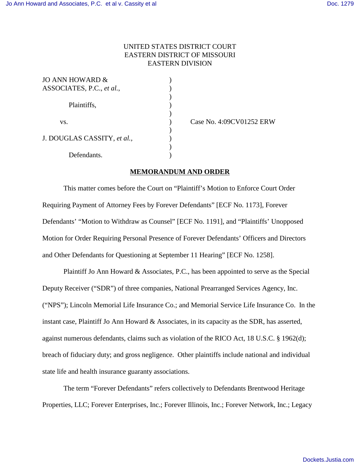## UNITED STATES DISTRICT COURT EASTERN DISTRICT OF MISSOURI EASTERN DIVISION

)

 $\lambda$ 

| <b>JO ANN HOWARD &amp;</b>  |  |
|-----------------------------|--|
| ASSOCIATES, P.C., et al.,   |  |
|                             |  |
| Plaintiffs,                 |  |
|                             |  |
| VS.                         |  |
|                             |  |
| J. DOUGLAS CASSITY, et al., |  |
|                             |  |
| Defendants.                 |  |

(ase No. 4:09CV01252 ERW)

## **MEMORANDUM AND ORDER**

This matter comes before the Court on "Plaintiff's Motion to Enforce Court Order Requiring Payment of Attorney Fees by Forever Defendants" [ECF No. 1173], Forever Defendants' "Motion to Withdraw as Counsel" [ECF No. 1191], and "Plaintiffs' Unopposed Motion for Order Requiring Personal Presence of Forever Defendants' Officers and Directors and Other Defendants for Questioning at September 11 Hearing" [ECF No. 1258].

Plaintiff Jo Ann Howard & Associates, P.C., has been appointed to serve as the Special Deputy Receiver ("SDR") of three companies, National Prearranged Services Agency, Inc. ("NPS"); Lincoln Memorial Life Insurance Co.; and Memorial Service Life Insurance Co. In the instant case, Plaintiff Jo Ann Howard & Associates, in its capacity as the SDR, has asserted, against numerous defendants, claims such as violation of the RICO Act, 18 U.S.C. § 1962(d); breach of fiduciary duty; and gross negligence. Other plaintiffs include national and individual state life and health insurance guaranty associations.

The term "Forever Defendants" refers collectively to Defendants Brentwood Heritage Properties, LLC; Forever Enterprises, Inc.; Forever Illinois, Inc.; Forever Network, Inc.; Legacy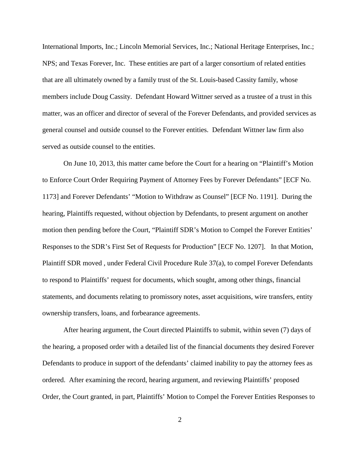International Imports, Inc.; Lincoln Memorial Services, Inc.; National Heritage Enterprises, Inc.; NPS; and Texas Forever, Inc. These entities are part of a larger consortium of related entities that are all ultimately owned by a family trust of the St. Louis-based Cassity family, whose members include Doug Cassity. Defendant Howard Wittner served as a trustee of a trust in this matter, was an officer and director of several of the Forever Defendants, and provided services as general counsel and outside counsel to the Forever entities. Defendant Wittner law firm also served as outside counsel to the entities.

On June 10, 2013, this matter came before the Court for a hearing on "Plaintiff's Motion to Enforce Court Order Requiring Payment of Attorney Fees by Forever Defendants" [ECF No. 1173] and Forever Defendants' "Motion to Withdraw as Counsel" [ECF No. 1191]. During the hearing, Plaintiffs requested, without objection by Defendants, to present argument on another motion then pending before the Court, "Plaintiff SDR's Motion to Compel the Forever Entities' Responses to the SDR's First Set of Requests for Production" [ECF No. 1207]. In that Motion, Plaintiff SDR moved , under Federal Civil Procedure Rule 37(a), to compel Forever Defendants to respond to Plaintiffs' request for documents, which sought, among other things, financial statements, and documents relating to promissory notes, asset acquisitions, wire transfers, entity ownership transfers, loans, and forbearance agreements.

After hearing argument, the Court directed Plaintiffs to submit, within seven (7) days of the hearing, a proposed order with a detailed list of the financial documents they desired Forever Defendants to produce in support of the defendants' claimed inability to pay the attorney fees as ordered. After examining the record, hearing argument, and reviewing Plaintiffs' proposed Order, the Court granted, in part, Plaintiffs' Motion to Compel the Forever Entities Responses to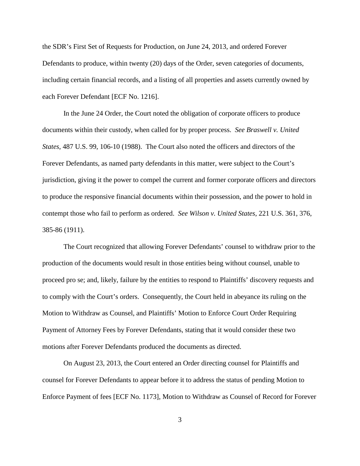the SDR's First Set of Requests for Production, on June 24, 2013, and ordered Forever Defendants to produce, within twenty (20) days of the Order, seven categories of documents, including certain financial records, and a listing of all properties and assets currently owned by each Forever Defendant [ECF No. 1216].

In the June 24 Order, the Court noted the obligation of corporate officers to produce documents within their custody, when called for by proper process. *See Braswell v. United States*, 487 U.S. 99, 106-10 (1988). The Court also noted the officers and directors of the Forever Defendants, as named party defendants in this matter, were subject to the Court's jurisdiction, giving it the power to compel the current and former corporate officers and directors to produce the responsive financial documents within their possession, and the power to hold in contempt those who fail to perform as ordered. *See Wilson v. United States*, 221 U.S. 361, 376, 385-86 (1911).

The Court recognized that allowing Forever Defendants' counsel to withdraw prior to the production of the documents would result in those entities being without counsel, unable to proceed pro se; and, likely, failure by the entities to respond to Plaintiffs' discovery requests and to comply with the Court's orders. Consequently, the Court held in abeyance its ruling on the Motion to Withdraw as Counsel, and Plaintiffs' Motion to Enforce Court Order Requiring Payment of Attorney Fees by Forever Defendants, stating that it would consider these two motions after Forever Defendants produced the documents as directed.

On August 23, 2013, the Court entered an Order directing counsel for Plaintiffs and counsel for Forever Defendants to appear before it to address the status of pending Motion to Enforce Payment of fees [ECF No. 1173], Motion to Withdraw as Counsel of Record for Forever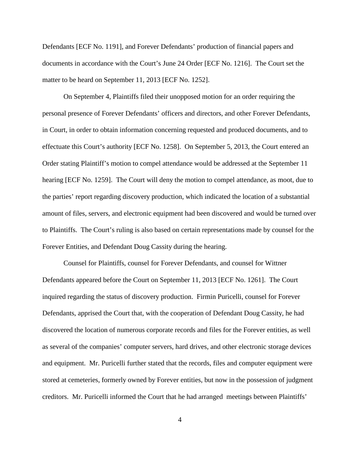Defendants [ECF No. 1191], and Forever Defendants' production of financial papers and documents in accordance with the Court's June 24 Order [ECF No. 1216]. The Court set the matter to be heard on September 11, 2013 [ECF No. 1252].

On September 4, Plaintiffs filed their unopposed motion for an order requiring the personal presence of Forever Defendants' officers and directors, and other Forever Defendants, in Court, in order to obtain information concerning requested and produced documents, and to effectuate this Court's authority [ECF No. 1258]. On September 5, 2013, the Court entered an Order stating Plaintiff's motion to compel attendance would be addressed at the September 11 hearing [ECF No. 1259]. The Court will deny the motion to compel attendance, as moot, due to the parties' report regarding discovery production, which indicated the location of a substantial amount of files, servers, and electronic equipment had been discovered and would be turned over to Plaintiffs. The Court's ruling is also based on certain representations made by counsel for the Forever Entities, and Defendant Doug Cassity during the hearing.

Counsel for Plaintiffs, counsel for Forever Defendants, and counsel for Wittner Defendants appeared before the Court on September 11, 2013 [ECF No. 1261]. The Court inquired regarding the status of discovery production. Firmin Puricelli, counsel for Forever Defendants, apprised the Court that, with the cooperation of Defendant Doug Cassity, he had discovered the location of numerous corporate records and files for the Forever entities, as well as several of the companies' computer servers, hard drives, and other electronic storage devices and equipment. Mr. Puricelli further stated that the records, files and computer equipment were stored at cemeteries, formerly owned by Forever entities, but now in the possession of judgment creditors. Mr. Puricelli informed the Court that he had arranged meetings between Plaintiffs'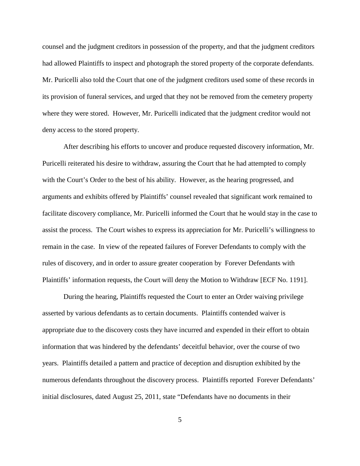counsel and the judgment creditors in possession of the property, and that the judgment creditors had allowed Plaintiffs to inspect and photograph the stored property of the corporate defendants. Mr. Puricelli also told the Court that one of the judgment creditors used some of these records in its provision of funeral services, and urged that they not be removed from the cemetery property where they were stored. However, Mr. Puricelli indicated that the judgment creditor would not deny access to the stored property.

After describing his efforts to uncover and produce requested discovery information, Mr. Puricelli reiterated his desire to withdraw, assuring the Court that he had attempted to comply with the Court's Order to the best of his ability. However, as the hearing progressed, and arguments and exhibits offered by Plaintiffs' counsel revealed that significant work remained to facilitate discovery compliance, Mr. Puricelli informed the Court that he would stay in the case to assist the process. The Court wishes to express its appreciation for Mr. Puricelli's willingness to remain in the case. In view of the repeated failures of Forever Defendants to comply with the rules of discovery, and in order to assure greater cooperation by Forever Defendants with Plaintiffs' information requests, the Court will deny the Motion to Withdraw [ECF No. 1191].

During the hearing, Plaintiffs requested the Court to enter an Order waiving privilege asserted by various defendants as to certain documents. Plaintiffs contended waiver is appropriate due to the discovery costs they have incurred and expended in their effort to obtain information that was hindered by the defendants' deceitful behavior, over the course of two years. Plaintiffs detailed a pattern and practice of deception and disruption exhibited by the numerous defendants throughout the discovery process. Plaintiffs reported Forever Defendants' initial disclosures, dated August 25, 2011, state "Defendants have no documents in their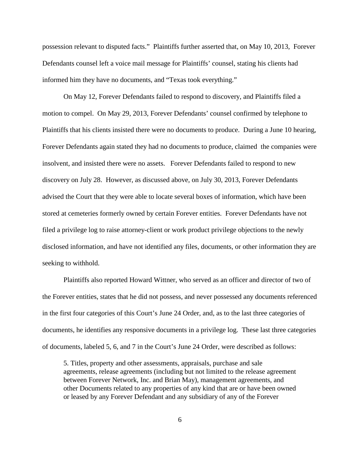possession relevant to disputed facts." Plaintiffs further asserted that, on May 10, 2013, Forever Defendants counsel left a voice mail message for Plaintiffs' counsel, stating his clients had informed him they have no documents, and "Texas took everything."

On May 12, Forever Defendants failed to respond to discovery, and Plaintiffs filed a motion to compel. On May 29, 2013, Forever Defendants' counsel confirmed by telephone to Plaintiffs that his clients insisted there were no documents to produce. During a June 10 hearing, Forever Defendants again stated they had no documents to produce, claimed the companies were insolvent, and insisted there were no assets. Forever Defendants failed to respond to new discovery on July 28. However, as discussed above, on July 30, 2013, Forever Defendants advised the Court that they were able to locate several boxes of information, which have been stored at cemeteries formerly owned by certain Forever entities. Forever Defendants have not filed a privilege log to raise attorney-client or work product privilege objections to the newly disclosed information, and have not identified any files, documents, or other information they are seeking to withhold.

Plaintiffs also reported Howard Wittner, who served as an officer and director of two of the Forever entities, states that he did not possess, and never possessed any documents referenced in the first four categories of this Court's June 24 Order, and, as to the last three categories of documents, he identifies any responsive documents in a privilege log. These last three categories of documents, labeled 5, 6, and 7 in the Court's June 24 Order, were described as follows:

5. Titles, property and other assessments, appraisals, purchase and sale agreements, release agreements (including but not limited to the release agreement between Forever Network, Inc. and Brian May), management agreements, and other Documents related to any properties of any kind that are or have been owned or leased by any Forever Defendant and any subsidiary of any of the Forever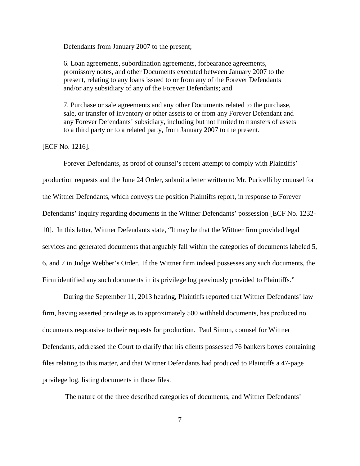Defendants from January 2007 to the present;

6. Loan agreements, subordination agreements, forbearance agreements, promissory notes, and other Documents executed between January 2007 to the present, relating to any loans issued to or from any of the Forever Defendants and/or any subsidiary of any of the Forever Defendants; and

7. Purchase or sale agreements and any other Documents related to the purchase, sale, or transfer of inventory or other assets to or from any Forever Defendant and any Forever Defendants' subsidiary, including but not limited to transfers of assets to a third party or to a related party, from January 2007 to the present.

## [ECF No. 1216].

Forever Defendants, as proof of counsel's recent attempt to comply with Plaintiffs' production requests and the June 24 Order, submit a letter written to Mr. Puricelli by counsel for the Wittner Defendants, which conveys the position Plaintiffs report, in response to Forever Defendants' inquiry regarding documents in the Wittner Defendants' possession [ECF No. 1232- 10]. In this letter, Wittner Defendants state, "It may be that the Wittner firm provided legal services and generated documents that arguably fall within the categories of documents labeled 5, 6, and 7 in Judge Webber's Order. If the Wittner firm indeed possesses any such documents, the Firm identified any such documents in its privilege log previously provided to Plaintiffs."

During the September 11, 2013 hearing, Plaintiffs reported that Wittner Defendants' law firm, having asserted privilege as to approximately 500 withheld documents, has produced no documents responsive to their requests for production. Paul Simon, counsel for Wittner Defendants, addressed the Court to clarify that his clients possessed 76 bankers boxes containing files relating to this matter, and that Wittner Defendants had produced to Plaintiffs a 47-page privilege log, listing documents in those files.

The nature of the three described categories of documents, and Wittner Defendants'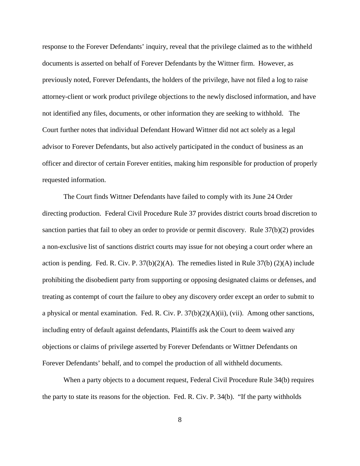response to the Forever Defendants' inquiry, reveal that the privilege claimed as to the withheld documents is asserted on behalf of Forever Defendants by the Wittner firm. However, as previously noted, Forever Defendants, the holders of the privilege, have not filed a log to raise attorney-client or work product privilege objections to the newly disclosed information, and have not identified any files, documents, or other information they are seeking to withhold. The Court further notes that individual Defendant Howard Wittner did not act solely as a legal advisor to Forever Defendants, but also actively participated in the conduct of business as an officer and director of certain Forever entities, making him responsible for production of properly requested information.

The Court finds Wittner Defendants have failed to comply with its June 24 Order directing production. Federal Civil Procedure Rule 37 provides district courts broad discretion to sanction parties that fail to obey an order to provide or permit discovery. Rule 37(b)(2) provides a non-exclusive list of sanctions district courts may issue for not obeying a court order where an action is pending. Fed. R. Civ. P.  $37(b)(2)(A)$ . The remedies listed in Rule  $37(b)(2)(A)$  include prohibiting the disobedient party from supporting or opposing designated claims or defenses, and treating as contempt of court the failure to obey any discovery order except an order to submit to a physical or mental examination. Fed. R. Civ. P.  $37(b)(2)(A)(ii)$ , (vii). Among other sanctions, including entry of default against defendants, Plaintiffs ask the Court to deem waived any objections or claims of privilege asserted by Forever Defendants or Wittner Defendants on Forever Defendants' behalf, and to compel the production of all withheld documents.

When a party objects to a document request, Federal Civil Procedure Rule 34(b) requires the party to state its reasons for the objection. Fed. R. Civ. P. 34(b). "If the party withholds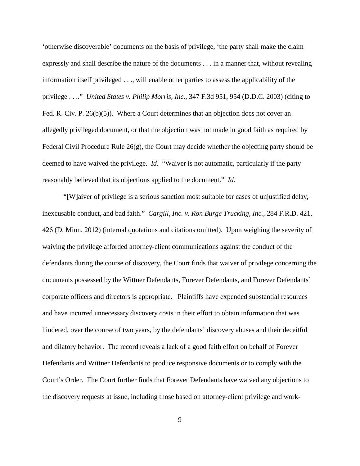'otherwise discoverable' documents on the basis of privilege, 'the party shall make the claim expressly and shall describe the nature of the documents . . . in a manner that, without revealing information itself privileged . . ., will enable other parties to assess the applicability of the privilege . . .." *United States v. Philip Morris, Inc.*, 347 F.3d 951, 954 (D.D.C. 2003) (citing to Fed. R. Civ. P. 26(b)(5)). Where a Court determines that an objection does not cover an allegedly privileged document, or that the objection was not made in good faith as required by Federal Civil Procedure Rule 26(g), the Court may decide whether the objecting party should be deemed to have waived the privilege. *Id.* "Waiver is not automatic, particularly if the party reasonably believed that its objections applied to the document." *Id.*

"[W]aiver of privilege is a serious sanction most suitable for cases of unjustified delay, inexcusable conduct, and bad faith." *Cargill, Inc. v. Ron Burge Trucking, Inc.*, 284 F.R.D. 421, 426 (D. Minn. 2012) (internal quotations and citations omitted). Upon weighing the severity of waiving the privilege afforded attorney-client communications against the conduct of the defendants during the course of discovery, the Court finds that waiver of privilege concerning the documents possessed by the Wittner Defendants, Forever Defendants, and Forever Defendants' corporate officers and directors is appropriate. Plaintiffs have expended substantial resources and have incurred unnecessary discovery costs in their effort to obtain information that was hindered, over the course of two years, by the defendants' discovery abuses and their deceitful and dilatory behavior. The record reveals a lack of a good faith effort on behalf of Forever Defendants and Wittner Defendants to produce responsive documents or to comply with the Court's Order. The Court further finds that Forever Defendants have waived any objections to the discovery requests at issue, including those based on attorney-client privilege and work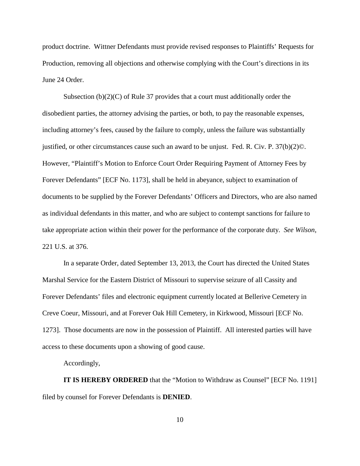product doctrine. Wittner Defendants must provide revised responses to Plaintiffs' Requests for Production, removing all objections and otherwise complying with the Court's directions in its June 24 Order.

Subsection  $(b)(2)(C)$  of Rule 37 provides that a court must additionally order the disobedient parties, the attorney advising the parties, or both, to pay the reasonable expenses, including attorney's fees, caused by the failure to comply, unless the failure was substantially justified, or other circumstances cause such an award to be unjust. Fed. R. Civ. P. 37(b)(2)©. However, "Plaintiff's Motion to Enforce Court Order Requiring Payment of Attorney Fees by Forever Defendants" [ECF No. 1173], shall be held in abeyance, subject to examination of documents to be supplied by the Forever Defendants' Officers and Directors, who are also named as individual defendants in this matter, and who are subject to contempt sanctions for failure to take appropriate action within their power for the performance of the corporate duty. *See Wilson*, 221 U.S. at 376.

In a separate Order, dated September 13, 2013, the Court has directed the United States Marshal Service for the Eastern District of Missouri to supervise seizure of all Cassity and Forever Defendants' files and electronic equipment currently located at Bellerive Cemetery in Creve Coeur, Missouri, and at Forever Oak Hill Cemetery, in Kirkwood, Missouri [ECF No. 1273]. Those documents are now in the possession of Plaintiff. All interested parties will have access to these documents upon a showing of good cause.

Accordingly,

**IT IS HEREBY ORDERED** that the "Motion to Withdraw as Counsel" [ECF No. 1191] filed by counsel for Forever Defendants is **DENIED**.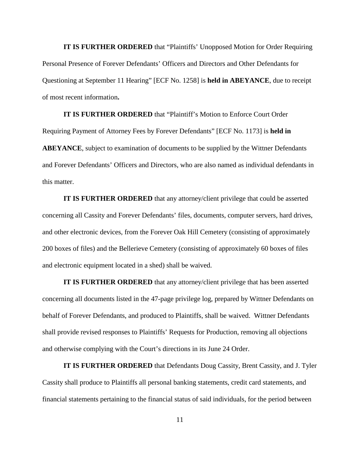**IT IS FURTHER ORDERED** that "Plaintiffs' Unopposed Motion for Order Requiring Personal Presence of Forever Defendants' Officers and Directors and Other Defendants for Questioning at September 11 Hearing" [ECF No. 1258] is **held in ABEYANCE**, due to receipt of most recent information**.**

**IT IS FURTHER ORDERED** that "Plaintiff's Motion to Enforce Court Order Requiring Payment of Attorney Fees by Forever Defendants" [ECF No. 1173] is **held in ABEYANCE**, subject to examination of documents to be supplied by the Wittner Defendants and Forever Defendants' Officers and Directors, who are also named as individual defendants in this matter.

**IT IS FURTHER ORDERED** that any attorney/client privilege that could be asserted concerning all Cassity and Forever Defendants' files, documents, computer servers, hard drives, and other electronic devices, from the Forever Oak Hill Cemetery (consisting of approximately 200 boxes of files) and the Bellerieve Cemetery (consisting of approximately 60 boxes of files and electronic equipment located in a shed) shall be waived.

**IT IS FURTHER ORDERED** that any attorney/client privilege that has been asserted concerning all documents listed in the 47-page privilege log, prepared by Wittner Defendants on behalf of Forever Defendants, and produced to Plaintiffs, shall be waived. Wittner Defendants shall provide revised responses to Plaintiffs' Requests for Production, removing all objections and otherwise complying with the Court's directions in its June 24 Order.

**IT IS FURTHER ORDERED** that Defendants Doug Cassity, Brent Cassity, and J. Tyler Cassity shall produce to Plaintiffs all personal banking statements, credit card statements, and financial statements pertaining to the financial status of said individuals, for the period between